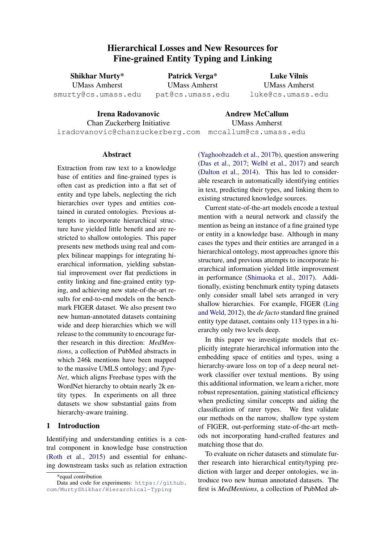# Hierarchical Losses and New Resources for Fine-grained Entity Typing and Linking

Shikhar Murty\* UMass Amherst smurty@cs.umass.edu

Patrick Verga\* UMass Amherst pat@cs.umass.edu

Luke Vilnis UMass Amherst luke@cs.umass.edu

Irena Radovanovic Chan Zuckerberg Initiative Andrew McCallum UMass Amherst

iradovanovic@chanzuckerberg.com mccallum@cs.umass.edu

### Abstract

Extraction from raw text to a knowledge base of entities and fine-grained types is often cast as prediction into a flat set of entity and type labels, neglecting the rich hierarchies over types and entities contained in curated ontologies. Previous attempts to incorporate hierarchical structure have yielded little benefit and are restricted to shallow ontologies. This paper presents new methods using real and complex bilinear mappings for integrating hierarchical information, yielding substantial improvement over flat predictions in entity linking and fine-grained entity typing, and achieving new state-of-the-art results for end-to-end models on the benchmark FIGER dataset. We also present two new human-annotated datasets containing wide and deep hierarchies which we will release to the community to encourage further research in this direction: *MedMentions*, a collection of PubMed abstracts in which 246k mentions have been mapped to the massive UMLS ontology; and *Type-Net*, which aligns Freebase types with the WordNet hierarchy to obtain nearly 2k entity types. In experiments on all three datasets we show substantial gains from hierarchy-aware training.

# 1 Introduction

Identifying and understanding entities is a central component in knowledge base construction [\(Roth et al.,](#page-10-0) [2015\)](#page-10-0) and essential for enhancing downstream tasks such as relation extraction [\(Yaghoobzadeh et al.,](#page-11-0) [2017b\)](#page-11-0), question answering [\(Das et al.,](#page-8-0) [2017;](#page-8-0) [Welbl et al.,](#page-10-1) [2017\)](#page-10-1) and search [\(Dalton et al.,](#page-8-1) [2014\)](#page-8-1). This has led to considerable research in automatically identifying entities in text, predicting their types, and linking them to existing structured knowledge sources.

Current state-of-the-art models encode a textual mention with a neural network and classify the mention as being an instance of a fine grained type or entity in a knowledge base. Although in many cases the types and their entities are arranged in a hierarchical ontology, most approaches ignore this structure, and previous attempts to incorporate hierarchical information yielded little improvement in performance [\(Shimaoka et al.,](#page-10-2) [2017\)](#page-10-2). Additionally, existing benchmark entity typing datasets only consider small label sets arranged in very shallow hierarchies. For example, FIGER [\(Ling](#page-9-0) [and Weld,](#page-9-0) [2012\)](#page-9-0), the *de facto* standard fine grained entity type dataset, contains only 113 types in a hierarchy only two levels deep.

In this paper we investigate models that explicitly integrate hierarchical information into the embedding space of entities and types, using a hierarchy-aware loss on top of a deep neural network classifier over textual mentions. By using this additional information, we learn a richer, more robust representation, gaining statistical efficiency when predicting similar concepts and aiding the classification of rarer types. We first validate our methods on the narrow, shallow type system of FIGER, out-performing state-of-the-art methods not incorporating hand-crafted features and matching those that do.

To evaluate on richer datasets and stimulate further research into hierarchical entity/typing prediction with larger and deeper ontologies, we introduce two new human annotated datasets. The first is *MedMentions*, a collection of PubMed ab-

<sup>\*</sup>equal contribution

Data and code for experiments: [https://github.](https://github.com/MurtyShikhar/Hierarchical-Typing) [com/MurtyShikhar/Hierarchical-Typing](https://github.com/MurtyShikhar/Hierarchical-Typing)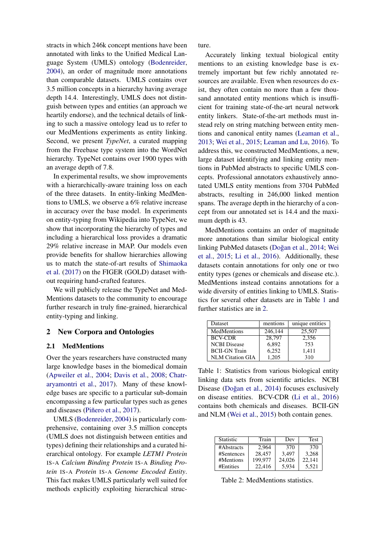stracts in which 246k concept mentions have been annotated with links to the Unified Medical Language System (UMLS) ontology [\(Bodenreider,](#page-8-2) [2004\)](#page-8-2), an order of magnitude more annotations than comparable datasets. UMLS contains over 3.5 million concepts in a hierarchy having average depth 14.4. Interestingly, UMLS does not distinguish between types and entities (an approach we heartily endorse), and the technical details of linking to such a massive ontology lead us to refer to our MedMentions experiments as entity linking. Second, we present *TypeNet*, a curated mapping from the Freebase type system into the WordNet hierarchy. TypeNet contains over 1900 types with an average depth of 7.8.

In experimental results, we show improvements with a hierarchically-aware training loss on each of the three datasets. In entity-linking MedMentions to UMLS, we observe a 6% relative increase in accuracy over the base model. In experiments on entity-typing from Wikipedia into TypeNet, we show that incorporating the hierarchy of types and including a hierarchical loss provides a dramatic 29% relative increase in MAP. Our models even provide benefits for shallow hierarchies allowing us to match the state-of-art results of [Shimaoka](#page-10-2) [et al.](#page-10-2) [\(2017\)](#page-10-2) on the FIGER (GOLD) dataset without requiring hand-crafted features.

We will publicly release the TypeNet and Med-Mentions datasets to the community to encourage further research in truly fine-grained, hierarchical entity-typing and linking.

### 2 New Corpora and Ontologies

#### <span id="page-1-2"></span>2.1 MedMentions

Over the years researchers have constructed many large knowledge bases in the biomedical domain [\(Apweiler et al.,](#page-8-3) [2004;](#page-8-3) [Davis et al.,](#page-9-1) [2008;](#page-9-1) [Chatr](#page-8-4)[aryamontri et al.,](#page-8-4) [2017\)](#page-8-4). Many of these knowledge bases are specific to a particular sub-domain encompassing a few particular types such as genes and diseases (Piñero et al., [2017\)](#page-10-3).

UMLS [\(Bodenreider,](#page-8-2) [2004\)](#page-8-2) is particularly comprehensive, containing over 3.5 million concepts (UMLS does not distinguish between entities and types) defining their relationships and a curated hierarchical ontology. For example *LETM1 Protein* IS-A *Calcium Binding Protein* IS-A *Binding Protein* IS-A *Protein* IS-A *Genome Encoded Entity*. This fact makes UMLS particularly well suited for methods explicitly exploiting hierarchical structure.

Accurately linking textual biological entity mentions to an existing knowledge base is extremely important but few richly annotated resources are available. Even when resources do exist, they often contain no more than a few thousand annotated entity mentions which is insufficient for training state-of-the-art neural network entity linkers. State-of-the-art methods must instead rely on string matching between entity mentions and canonical entity names [\(Leaman et al.,](#page-9-2) [2013;](#page-9-2) [Wei et al.,](#page-10-4) [2015;](#page-10-4) [Leaman and Lu,](#page-9-3) [2016\)](#page-9-3). To address this, we constructed MedMentions, a new, large dataset identifying and linking entity mentions in PubMed abstracts to specific UMLS concepts. Professional annotators exhaustively annotated UMLS entity mentions from 3704 PubMed abstracts, resulting in 246,000 linked mention spans. The average depth in the hierarchy of a concept from our annotated set is 14.4 and the maximum depth is 43.

MedMentions contains an order of magnitude more annotations than similar biological entity linking PubMed datasets (Doğan et al., [2014;](#page-9-4) [Wei](#page-10-4) [et al.,](#page-10-4) [2015;](#page-10-4) [Li et al.,](#page-9-5) [2016\)](#page-9-5). Additionally, these datasets contain annotations for only one or two entity types (genes or chemicals and disease etc.). MedMentions instead contains annotations for a wide diversity of entities linking to UMLS. Statistics for several other datasets are in Table [1](#page-1-0) and further statistics are in [2.](#page-1-1)

| Dataset                 | mentions | unique entities |
|-------------------------|----------|-----------------|
| MedMentions             | 246,144  | 25,507          |
| <b>BCV-CDR</b>          | 28.797   | 2.356           |
| <b>NCBI</b> Disease     | 6.892    | 753             |
| <b>BCII-GN</b> Train    | 6,252    | 1.411           |
| <b>NLM Citation GIA</b> | 1.205    | 310             |

<span id="page-1-0"></span>Table 1: Statistics from various biological entity linking data sets from scientific articles. NCBI Disease (Doğan et al., [2014\)](#page-9-4) focuses exclusively on disease entities. BCV-CDR [\(Li et al.,](#page-9-5) [2016\)](#page-9-5) contains both chemicals and diseases. BCII-GN and NLM [\(Wei et al.,](#page-10-4) [2015\)](#page-10-4) both contain genes.

| Statistic  | Train   | Dev    | <b>Test</b> |
|------------|---------|--------|-------------|
| #Abstracts | 2.964   | 370    | 370         |
| #Sentences | 28,457  | 3.497  | 3.268       |
| #Mentions  | 199.977 | 24.026 | 22.141      |
| #Entities  | 22.416  | 5.934  | 5,521       |

<span id="page-1-1"></span>Table 2: MedMentions statistics.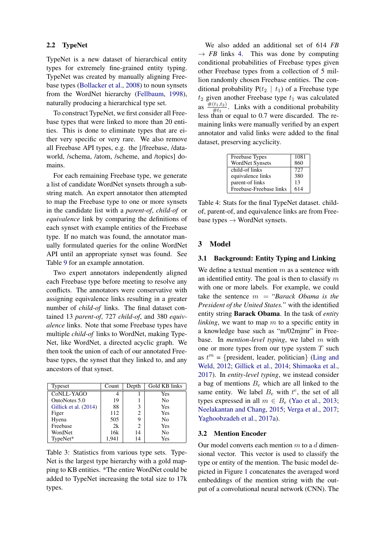### 2.2 TypeNet

TypeNet is a new dataset of hierarchical entity types for extremely fine-grained entity typing. TypeNet was created by manually aligning Freebase types [\(Bollacker et al.,](#page-8-5) [2008\)](#page-8-5) to noun synsets from the WordNet hierarchy [\(Fellbaum,](#page-9-6) [1998\)](#page-9-6), naturally producing a hierarchical type set.

To construct TypeNet, we first consider all Freebase types that were linked to more than 20 entities. This is done to eliminate types that are either very specific or very rare. We also remove all Freebase API types, e.g. the [/freebase, /dataworld, /schema, /atom, /scheme, and /topics] domains.

For each remaining Freebase type, we generate a list of candidate WordNet synsets through a substring match. An expert annotator then attempted to map the Freebase type to one or more synsets in the candidate list with a *parent-of*, *child-of* or *equivalence* link by comparing the definitions of each synset with example entities of the Freebase type. If no match was found, the annotator manually formulated queries for the online WordNet API until an appropriate synset was found. See Table [9](#page-12-0) for an example annotation.

Two expert annotators independently aligned each Freebase type before meeting to resolve any conflicts. The annotators were conservative with assigning equivalence links resulting in a greater number of *child-of* links. The final dataset contained 13 *parent-of*, 727 *child-of*, and 380 *equivalence* links. Note that some Freebase types have multiple *child-of* links to WordNet, making Type-Net, like WordNet, a directed acyclic graph. We then took the union of each of our annotated Freebase types, the synset that they linked to, and any ancestors of that synset.

| Typeset               | Count | Depth | Gold KB links |
|-----------------------|-------|-------|---------------|
| CoNLL-YAGO            |       |       | Yes           |
| OntoNotes 5.0         | 19    |       | No            |
| Gillick et al. (2014) | 88    | 3     | Yes           |
| Figer                 | 112   | 2     | Yes           |
| Hyena                 | 505   | 9     | No            |
| Freebase              | 2k    | 2     | Yes           |
| WordNet               | 16k   | 14    | No            |
| TypeNet*              | 1,941 | 14    | Yes           |

Table 3: Statistics from various type sets. Type-Net is the largest type hierarchy with a gold mapping to KB entities. \*The entire WordNet could be added to TypeNet increasing the total size to 17k types.

We also added an additional set of 614 *FB*  $\rightarrow$  *FB* links [4.](#page-2-0) This was done by computing conditional probabilities of Freebase types given other Freebase types from a collection of 5 million randomly chosen Freebase entities. The conditional probability  $P(t_2 | t_1)$  of a Freebase type  $t_2$  given another Freebase type  $t_1$  was calculated as  $\frac{\#(t_1,t_2)}{\#t_1}$  $\frac{(t_1,t_2)}{#t_1}$ . Links with a conditional probability less than or equal to 0.7 were discarded. The remaining links were manually verified by an expert annotator and valid links were added to the final dataset, preserving acyclicity.

| Freebase Types          | 1081 |
|-------------------------|------|
| <b>WordNet Synsets</b>  | 860  |
| child-of links          | 727  |
| equivalence links       | 380  |
| parent-of links         | 13   |
| Freebase-Freebase links | 614  |

<span id="page-2-0"></span>Table 4: Stats for the final TypeNet dataset. childof, parent-of, and equivalence links are from Freebase types  $\rightarrow$  WordNet synsets.

# 3 Model

#### 3.1 Background: Entity Typing and Linking

We define a textual mention  $m$  as a sentence with an identified entity. The goal is then to classify  $m$ with one or more labels. For example, we could take the sentence m = "*Barack Obama is the President of the United States.*" with the identified entity string Barack Obama. In the task of *entity linking*, we want to map m to a specific entity in a knowledge base such as "m/02mjmr" in Freebase. In *mention-level typing*, we label m with one or more types from our type system  $T$  such as  $t^m$  = {president, leader, politician} [\(Ling and](#page-9-0) [Weld,](#page-9-0) [2012;](#page-9-0) [Gillick et al.,](#page-9-7) [2014;](#page-9-7) [Shimaoka et al.,](#page-10-2) [2017\)](#page-10-2). In *entity-level typing*, we instead consider a bag of mentions  $B_e$  which are all linked to the same entity. We label  $B_e$  with  $t^e$ , the set of all types expressed in all  $m \in B_e$  [\(Yao et al.,](#page-11-1) [2013;](#page-11-1) [Neelakantan and Chang,](#page-9-8) [2015;](#page-9-8) [Verga et al.,](#page-10-5) [2017;](#page-10-5) [Yaghoobzadeh et al.,](#page-10-6) [2017a\)](#page-10-6).

#### <span id="page-2-1"></span>3.2 Mention Encoder

Our model converts each mention  $m$  to a  $d$  dimensional vector. This vector is used to classify the type or entity of the mention. The basic model depicted in Figure [1](#page-3-0) concatenates the averaged word embeddings of the mention string with the output of a convolutional neural network (CNN). The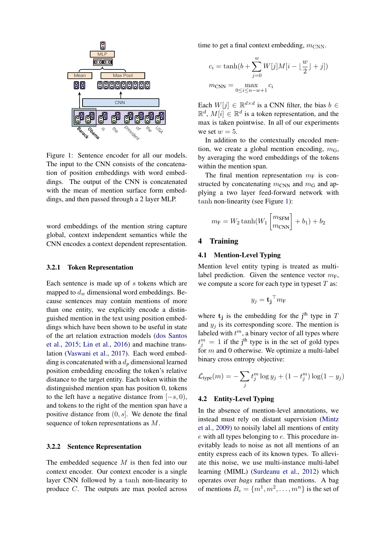

<span id="page-3-0"></span>Figure 1: Sentence encoder for all our models. The input to the CNN consists of the concatenation of position embeddings with word embeddings. The output of the CNN is concatenated with the mean of mention surface form embeddings, and then passed through a 2 layer MLP.

word embeddings of the mention string capture global, context independent semantics while the CNN encodes a context dependent representation.

#### 3.2.1 Token Representation

Each sentence is made up of s tokens which are mapped to  $d_w$  dimensional word embeddings. Because sentences may contain mentions of more than one entity, we explicitly encode a distinguished mention in the text using position embeddings which have been shown to be useful in state of the art relation extraction models [\(dos Santos](#page-10-7) [et al.,](#page-10-7) [2015;](#page-10-7) [Lin et al.,](#page-9-9) [2016\)](#page-9-9) and machine translation [\(Vaswani et al.,](#page-10-8) [2017\)](#page-10-8). Each word embedding is concatenated with a  $d_p$  dimensional learned position embedding encoding the token's relative distance to the target entity. Each token within the distinguished mention span has position 0, tokens to the left have a negative distance from  $[-s, 0)$ , and tokens to the right of the mention span have a positive distance from  $(0, s]$ . We denote the final sequence of token representations as M.

#### 3.2.2 Sentence Representation

The embedded sequence  $M$  is then fed into our context encoder. Our context encoder is a single layer CNN followed by a tanh non-linearity to produce C. The outputs are max pooled across

time to get a final context embedding,  $m_{\text{CNN}}$ .

$$
c_i = \tanh(b + \sum_{j=0}^{w} W[j]M[i - \lfloor \frac{w}{2} \rfloor + j])
$$

$$
m_{\text{CNN}} = \max_{0 \le i \le n - w + 1} c_i
$$

Each  $W[j] \in \mathbb{R}^{d \times d}$  is a CNN filter, the bias  $b \in$  $\mathbb{R}^d$ ,  $M[i] \in \mathbb{R}^d$  is a token representation, and the max is taken pointwise. In all of our experiments we set  $w = 5$ .

In addition to the contextually encoded mention, we create a global mention encoding,  $m<sub>G</sub>$ , by averaging the word embeddings of the tokens within the mention span.

The final mention representation  $m_F$  is constructed by concatenating  $m_{\text{CNN}}$  and  $m_{\text{G}}$  and applying a two layer feed-forward network with tanh non-linearity (see Figure [1\)](#page-3-0):

$$
m_{\rm F} = W_2 \tanh(W_1 \begin{bmatrix} m_{\rm SFM} \\ m_{\rm CNN} \end{bmatrix} + b_1) + b_2
$$

#### 4 Training

#### <span id="page-3-1"></span>4.1 Mention-Level Typing

Mention level entity typing is treated as multilabel prediction. Given the sentence vector  $m_F$ , we compute a score for each type in typeset  $T$  as:

$$
y_j = \mathbf{t_j}^\top m_\mathrm{F}
$$

where  $t_j$  is the embedding for the j<sup>th</sup> type in T and  $y_j$  is its corresponding score. The mention is labeled with  $t^m$ , a binary vector of all types where  $t_j^m = 1$  if the j<sup>th</sup> type is in the set of gold types for  $m$  and 0 otherwise. We optimize a multi-label binary cross entropy objective:

$$
\mathcal{L}_{\text{type}}(m) = -\sum_{j} t_j^m \log y_j + (1 - t_j^m) \log(1 - y_j)
$$

### <span id="page-3-2"></span>4.2 Entity-Level Typing

In the absence of mention-level annotations, we instead must rely on distant supervision [\(Mintz](#page-9-10) [et al.,](#page-9-10) [2009\)](#page-9-10) to noisily label all mentions of entity e with all types belonging to e. This procedure inevitably leads to noise as not all mentions of an entity express each of its known types. To alleviate this noise, we use multi-instance multi-label learning (MIML) [\(Surdeanu et al.,](#page-10-9) [2012\)](#page-10-9) which operates over *bags* rather than mentions. A bag of mentions  $B_e = \{m^1, m^2, \dots, m^n\}$  is the set of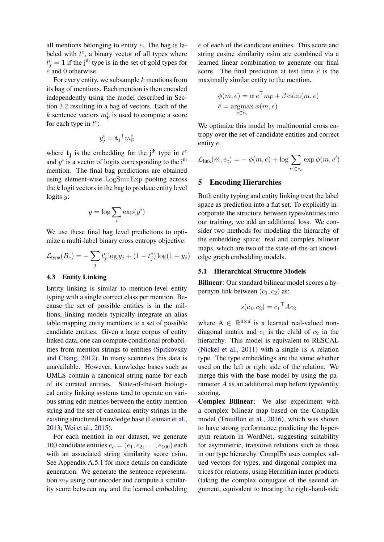all mentions belonging to entity e. The bag is labeled with  $t^e$ , a binary vector of all types where  $t_j^e = 1$  if the j<sup>th</sup> type is in the set of gold types for e and 0 otherwise.

For every entity, we subsample  $k$  mentions from its bag of mentions. Each mention is then encoded independently using the model described in Section [3.2](#page-2-1) resulting in a bag of vectors. Each of the k sentence vectors  $m_F^i$  is used to compute a score for each type in  $t^e$ :

$$
y^i_j = \mathbf{t_j}^\top m^i_{\mathrm{F}}
$$

where  $t_j$  is the embedding for the j<sup>th</sup> type in  $t^e$ and  $y^i$  is a vector of logits corresponding to the i<sup>th</sup> mention. The final bag predictions are obtained using element-wise LogSumExp pooling across the  $k$  logit vectors in the bag to produce entity level logits  $y$ :

$$
y=\log\sum_i\exp(y^i)
$$

We use these final bag level predictions to optimize a multi-label binary cross entropy objective:

$$
\mathcal{L}_{\text{type}}(B_e) = -\sum_j t_j^e \log y_j + (1 - t_j^e) \log(1 - y_j)
$$

## <span id="page-4-1"></span>4.3 Entity Linking

Entity linking is similar to mention-level entity typing with a single correct class per mention. Because the set of possible entities is in the millions, linking models typically integrate an alias table mapping entity mentions to a set of possible candidate entities. Given a large corpus of entity linked data, one can compute conditional probabilities from mention strings to entities [\(Spitkovsky](#page-10-10) [and Chang,](#page-10-10) [2012\)](#page-10-10). In many scenarios this data is unavailable. However, knowledge bases such as UMLS contain a canonical string name for each of its curated entities. State-of-the-art biological entity linking systems tend to operate on various string edit metrics between the entity mention string and the set of canonical entity strings in the existing structured knowledge base [\(Leaman et al.,](#page-9-2) [2013;](#page-9-2) [Wei et al.,](#page-10-4) [2015\)](#page-10-4).

For each mention in our dataset, we generate 100 candidate entities  $e_c = (e_1, e_2, \ldots, e_{100})$  each with an associated string similarity score csim. See Appendix [A.5.1](#page-12-1) for more details on candidate generation. We generate the sentence representation  $m_F$  using our encoder and compute a similarity score between  $m_F$  and the learned embedding

e of each of the candidate entities. This score and string cosine similarity csim are combined via a learned linear combination to generate our final score. The final prediction at test time  $\hat{e}$  is the maximally similar entity to the mention.

$$
\phi(m, e) = \alpha e^{\top} m_{\text{F}} + \beta \operatorname{csim}(m, e)
$$

$$
\hat{e} = \operatorname*{argmax}_{e \in e_c} \phi(m, e)
$$

We optimize this model by multinomial cross entropy over the set of candidate entities and correct entity e.

$$
\mathcal{L}_{\text{link}}(m, e_c) = -\phi(m, e) + \log \sum_{e' \in e_c} \exp \phi(m, e')
$$

# <span id="page-4-0"></span>5 Encoding Hierarchies

Both entity typing and entity linking treat the label space as prediction into a flat set. To explicitly incorporate the structure between types/entities into our training, we add an additional loss. We consider two methods for modeling the hierarchy of the embedding space: real and complex bilinear maps, which are two of the state-of-the-art knowledge graph embedding models.

### 5.1 Hierarchical Structure Models

Bilinear: Our standard bilinear model scores a hypernym link between  $(c_1, c_2)$  as:

$$
s(c_1, c_2) = c_1^\top A c_2
$$

where  $A \in \mathbb{R}^{d \times d}$  is a learned real-valued nondiagonal matrix and  $c_1$  is the child of  $c_2$  in the hierarchy. This model is equivalent to RESCAL [\(Nickel et al.,](#page-9-11) [2011\)](#page-9-11) with a single IS-A relation type. The type embeddings are the same whether used on the left or right side of the relation. We merge this with the base model by using the parameter A as an additional map before type/entity scoring.

Complex Bilinear: We also experiment with a complex bilinear map based on the ComplEx model [\(Trouillon et al.,](#page-10-11) [2016\)](#page-10-11), which was shown to have strong performance predicting the hypernym relation in WordNet, suggesting suitability for asymmetric, transitive relations such as those in our type hierarchy. ComplEx uses complex valued vectors for types, and diagonal complex matrices for relations, using Hermitian inner products (taking the complex conjugate of the second argument, equivalent to treating the right-hand-side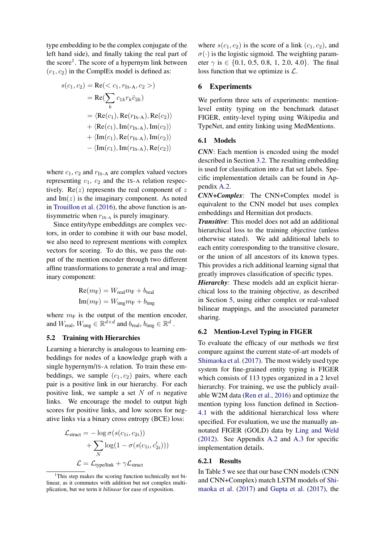type embedding to be the complex conjugate of the left hand side), and finally taking the real part of the score<sup>[1](#page-5-0)</sup>. The score of a hypernym link between  $(c_1, c_2)$  in the ComplEx model is defined as:

$$
s(c_1, c_2) = \text{Re}()
$$
  
= Re( $\sum_k c_{1k} r_k \overline{c}_{2k}$ )  
=  $\langle \text{Re}(c_1), \text{Re}(r_{\text{Is-A}}), \text{Re}(c_2) \rangle$   
+  $\langle \text{Re}(c_1), \text{Im}(r_{\text{Is-A}}), \text{Im}(c_2) \rangle$   
+  $\langle \text{Im}(c_1), \text{Re}(r_{\text{Is-A}}), \text{Im}(c_2) \rangle$   
-  $\langle \text{Im}(c_1), \text{Im}(r_{\text{Is-A}}), \text{Re}(c_2) \rangle$ 

where  $c_1$ ,  $c_2$  and  $r_{Is-A}$  are complex valued vectors representing  $c_1$ ,  $c_2$  and the IS-A relation respectively. Re $(z)$  represents the real component of z and  $Im(z)$  is the imaginary component. As noted in [Trouillon et al.](#page-10-11) [\(2016\)](#page-10-11), the above function is antisymmetric when  $r_{IS-A}$  is purely imaginary.

Since entity/type embeddings are complex vectors, in order to combine it with our base model, we also need to represent mentions with complex vectors for scoring. To do this, we pass the output of the mention encoder through two different affine transformations to generate a real and imaginary component:

$$
Re(m_F) = W_{\text{real}}m_F + b_{\text{real}}
$$

$$
\text{Im}(m_F) = W_{\text{img}}m_F + b_{\text{img}}
$$

where  $m_F$  is the output of the mention encoder, and  $W_{\text{real}}$ ,  $W_{\text{img}} \in \mathbb{R}^{d \times d}$  and  $b_{\text{real}}$ ,  $b_{\text{img}} \in \mathbb{R}^d$ .

### 5.2 Training with Hierarchies

Learning a hierarchy is analogous to learning embeddings for nodes of a knowledge graph with a single hypernym/IS-A relation. To train these embeddings, we sample  $(c_1, c_2)$  pairs, where each pair is a positive link in our hierarchy. For each positive link, we sample a set  $N$  of  $n$  negative links. We encourage the model to output high scores for positive links, and low scores for negative links via a binary cross entropy (BCE) loss:

$$
\mathcal{L}_{\text{struct}} = -\log \sigma(s(c_{1i}, c_{2i})) \n+ \sum_{N} \log(1 - \sigma(s(c_{1i}, c'_{2i}))) \n\mathcal{L} = \mathcal{L}_{\text{type/link}} + \gamma \mathcal{L}_{\text{struct}}
$$

where  $s(c_1, c_2)$  is the score of a link  $(c_1, c_2)$ , and  $\sigma(\cdot)$  is the logistic sigmoid. The weighting parameter  $\gamma$  is  $\in \{0.1, 0.5, 0.8, 1, 2.0, 4.0\}$ . The final loss function that we optimize is  $\mathcal{L}$ .

#### 6 Experiments

We perform three sets of experiments: mentionlevel entity typing on the benchmark dataset FIGER, entity-level typing using Wikipedia and TypeNet, and entity linking using MedMentions.

#### 6.1 Models

*CNN*: Each mention is encoded using the model described in Section [3.2.](#page-2-1) The resulting embedding is used for classification into a flat set labels. Specific implementation details can be found in Appendix [A.2.](#page-12-2)

*CNN+Complex*: The CNN+Complex model is equivalent to the CNN model but uses complex embeddings and Hermitian dot products.

*Transitive*: This model does not add an additional hierarchical loss to the training objective (unless otherwise stated). We add additional labels to each entity corresponding to the transitive closure, or the union of all ancestors of its known types. This provides a rich additional learning signal that greatly improves classification of specific types.

*Hierarchy*: These models add an explicit hierarchical loss to the training objective, as described in Section [5,](#page-4-0) using either complex or real-valued bilinear mappings, and the associated parameter sharing.

#### 6.2 Mention-Level Typing in FIGER

To evaluate the efficacy of our methods we first compare against the current state-of-art models of [Shimaoka et al.](#page-10-2) [\(2017\)](#page-10-2). The most widely used type system for fine-grained entity typing is FIGER which consists of 113 types organized in a 2 level hierarchy. For training, we use the publicly available W2M data [\(Ren et al.,](#page-10-12) [2016\)](#page-10-12) and optimize the mention typing loss function defined in Section-[4.1](#page-3-1) with the additional hierarchical loss where specified. For evaluation, we use the manually annotated FIGER (GOLD) data by [Ling and Weld](#page-9-0) [\(2012\)](#page-9-0). See Appendix [A.2](#page-12-2) and [A.3](#page-12-3) for specific implementation details.

## 6.2.1 Results

In Table [5](#page-6-0) we see that our base CNN models (CNN and CNN+Complex) match LSTM models of [Shi](#page-10-2)[maoka et al.](#page-10-2) [\(2017\)](#page-10-2) and [Gupta et al.](#page-9-12) [\(2017\)](#page-9-12), the

<span id="page-5-0"></span><sup>&</sup>lt;sup>1</sup>This step makes the scoring function technically not bilinear, as it commutes with addition but not complex multiplication, but we term it *bilinear* for ease of exposition.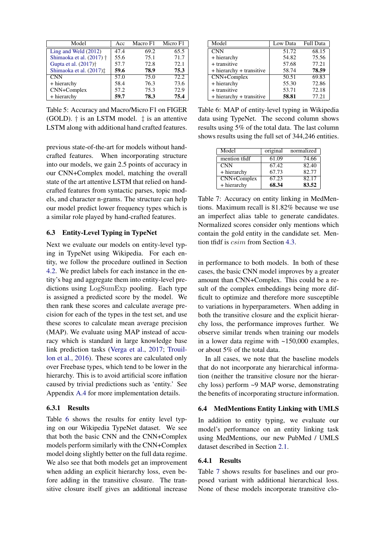| Model                               | Acc  | Macro F1 Micro F1 |      |
|-------------------------------------|------|-------------------|------|
| Ling and Weld $(2012)$              | 47.4 | 69.2              | 65.5 |
| Shimaoka et al. $(2017)$ †          | 55.6 | 75.1              | 71.7 |
| Gupta et al. (2017) <sup>†</sup>    | 57.7 | 72.8              | 72.1 |
| Shimaoka et al. (2017) <sup>±</sup> | 59.6 | 78.9              | 75.3 |
| <b>CNN</b>                          | 57.0 | 75.0              | 72.2 |
| + hierarchy                         | 58.4 | 76.3              | 73.6 |
| CNN+Complex                         | 57.2 | 75.3              | 72.9 |
| + hierarchy                         | 59.7 | 78.3              | 75.4 |

<span id="page-6-0"></span>Table 5: Accuracy and Macro/Micro F1 on FIGER (GOLD). † is an LSTM model. ‡ is an attentive LSTM along with additional hand crafted features.

previous state-of-the-art for models without handcrafted features. When incorporating structure into our models, we gain 2.5 points of accuracy in our CNN+Complex model, matching the overall state of the art attentive LSTM that relied on handcrafted features from syntactic parses, topic models, and character n-grams. The structure can help our model predict lower frequency types which is a similar role played by hand-crafted features.

#### 6.3 Entity-Level Typing in TypeNet

Next we evaluate our models on entity-level typing in TypeNet using Wikipedia. For each entity, we follow the procedure outlined in Section [4.2.](#page-3-2) We predict labels for each instance in the entity's bag and aggregate them into entity-level predictions using LogSumExp pooling. Each type is assigned a predicted score by the model. We then rank these scores and calculate average precision for each of the types in the test set, and use these scores to calculate mean average precision (MAP). We evaluate using MAP instead of accuracy which is standard in large knowledge base link prediction tasks [\(Verga et al.,](#page-10-5) [2017;](#page-10-5) [Trouil](#page-10-11)[lon et al.,](#page-10-11) [2016\)](#page-10-11). These scores are calculated only over Freebase types, which tend to be lower in the hierarchy. This is to avoid artificial score inflation caused by trivial predictions such as 'entity.' See Appendix [A.4](#page-12-4) for more implementation details.

#### 6.3.1 Results

Table [6](#page-6-1) shows the results for entity level typing on our Wikipedia TypeNet dataset. We see that both the basic CNN and the CNN+Complex models perform similarly with the CNN+Complex model doing slightly better on the full data regime. We also see that both models get an improvement when adding an explicit hierarchy loss, even before adding in the transitive closure. The transitive closure itself gives an additional increase

| Model                    | Low Data | Full Data          |
|--------------------------|----------|--------------------|
| <b>CNN</b>               | 51.72    | $\overline{68.15}$ |
| + hierarchy              | 54.82    | 75.56              |
| + transitive             | 57.68    | 77.21              |
| + hierarchy + transitive | 58.74    | 78.59              |
| CNN+Complex              | 50.51    | 69.83              |
| + hierarchy              | 55.30    | 72.86              |
| + transitive             | 53.71    | 72.18              |
| + hierarchy + transitive | 58.81    | 77.21              |

<span id="page-6-1"></span>Table 6: MAP of entity-level typing in Wikipedia data using TypeNet. The second column shows results using 5% of the total data. The last column shows results using the full set of 344,246 entities.

| Model         | original | normalized |
|---------------|----------|------------|
| mention tfidf | 61.09    | 74.66      |
| <b>CNN</b>    | 67.42    | 82.40      |
| + hierarchy   | 67.73    | 82.77      |
| CNN+Complex   | 67.23    | 82.17      |
| + hierarchy   | 68.34    | 83.52      |

<span id="page-6-2"></span>Table 7: Accuracy on entity linking in MedMentions. Maximum recall is 81.82% because we use an imperfect alias table to generate candidates. Normalized scores consider only mentions which contain the gold entity in the candidate set. Mention tfidf is csim from Section [4.3.](#page-4-1)

in performance to both models. In both of these cases, the basic CNN model improves by a greater amount than CNN+Complex. This could be a result of the complex embeddings being more difficult to optimize and therefore more susceptible to variations in hyperparameters. When adding in both the transitive closure and the explicit hierarchy loss, the performance improves further. We observe similar trends when training our models in a lower data regime with ~150,000 examples, or about 5% of the total data.

In all cases, we note that the baseline models that do not incorporate any hierarchical information (neither the transitive closure nor the hierarchy loss) perform ~9 MAP worse, demonstrating the benefits of incorporating structure information.

## 6.4 MedMentions Entity Linking with UMLS

In addition to entity typing, we evaluate our model's performance on an entity linking task using MedMentions, our new PubMed / UMLS dataset described in Section [2.1.](#page-1-2)

#### 6.4.1 Results

Table [7](#page-6-2) shows results for baselines and our proposed variant with additional hierarchical loss. None of these models incorporate transitive clo-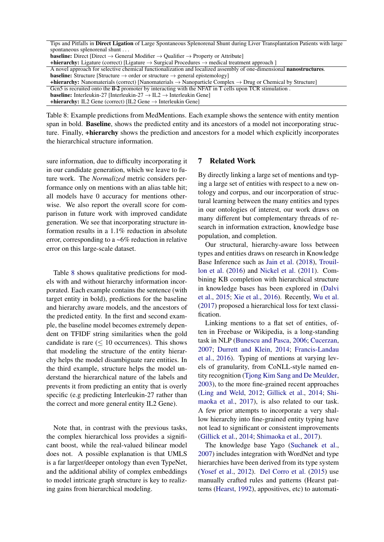<span id="page-7-0"></span>Table 8: Example predictions from MedMentions. Each example shows the sentence with entity mention span in bold. Baseline, shows the predicted entity and its ancestors of a model not incorporating structure. Finally, +hierarchy shows the prediction and ancestors for a model which explicitly incorporates the hierarchical structure information.

sure information, due to difficulty incorporating it in our candidate generation, which we leave to future work. The *Normalized* metric considers performance only on mentions with an alias table hit; all models have 0 accuracy for mentions otherwise. We also report the overall score for comparison in future work with improved candidate generation. We see that incorporating structure information results in a 1.1% reduction in absolute error, corresponding to a ~6% reduction in relative error on this large-scale dataset.

Table [8](#page-7-0) shows qualitative predictions for models with and without hierarchy information incorporated. Each example contains the sentence (with target entity in bold), predictions for the baseline and hierarchy aware models, and the ancestors of the predicted entity. In the first and second example, the baseline model becomes extremely dependent on TFIDF string similarities when the gold candidate is rare  $(< 10$  occurrences). This shows that modeling the structure of the entity hierarchy helps the model disambiguate rare entities. In the third example, structure helps the model understand the hierarchical nature of the labels and prevents it from predicting an entity that is overly specific (e.g predicting Interleukin-27 rather than the correct and more general entity IL2 Gene).

Note that, in contrast with the previous tasks, the complex hierarchical loss provides a significant boost, while the real-valued bilinear model does not. A possible explanation is that UMLS is a far larger/deeper ontology than even TypeNet, and the additional ability of complex embeddings to model intricate graph structure is key to realizing gains from hierarchical modeling.

# 7 Related Work

By directly linking a large set of mentions and typing a large set of entities with respect to a new ontology and corpus, and our incorporation of structural learning between the many entities and types in our ontologies of interest, our work draws on many different but complementary threads of research in information extraction, knowledge base population, and completion.

Our structural, hierarchy-aware loss between types and entities draws on research in Knowledge Base Inference such as [Jain et al.](#page-9-13) [\(2018\)](#page-9-13), [Trouil](#page-10-11)[lon et al.](#page-10-11) [\(2016\)](#page-10-11) and [Nickel et al.](#page-9-11) [\(2011\)](#page-9-11). Combining KB completion with hierarchical structure in knowledge bases has been explored in [\(Dalvi](#page-8-6) [et al.,](#page-8-6) [2015;](#page-8-6) [Xie et al.,](#page-10-13) [2016\)](#page-10-13). Recently, [Wu et al.](#page-10-14) [\(2017\)](#page-10-14) proposed a hierarchical loss for text classification.

Linking mentions to a flat set of entities, often in Freebase or Wikipedia, is a long-standing task in NLP [\(Bunescu and Pasca,](#page-8-7) [2006;](#page-8-7) [Cucerzan,](#page-8-8) [2007;](#page-8-8) [Durrett and Klein,](#page-9-14) [2014;](#page-9-14) [Francis-Landau](#page-9-15) [et al.,](#page-9-15) [2016\)](#page-9-15). Typing of mentions at varying levels of granularity, from CoNLL-style named entity recognition [\(Tjong Kim Sang and De Meulder,](#page-10-15) [2003\)](#page-10-15), to the more fine-grained recent approaches [\(Ling and Weld,](#page-9-0) [2012;](#page-9-0) [Gillick et al.,](#page-9-7) [2014;](#page-9-7) [Shi](#page-10-2)[maoka et al.,](#page-10-2) [2017\)](#page-10-2), is also related to our task. A few prior attempts to incorporate a very shallow hierarchy into fine-grained entity typing have not lead to significant or consistent improvements [\(Gillick et al.,](#page-9-7) [2014;](#page-9-7) [Shimaoka et al.,](#page-10-2) [2017\)](#page-10-2).

The knowledge base Yago [\(Suchanek et al.,](#page-10-16) [2007\)](#page-10-16) includes integration with WordNet and type hierarchies have been derived from its type system [\(Yosef et al.,](#page-11-2) [2012\)](#page-11-2). [Del Corro et al.](#page-9-16) [\(2015\)](#page-9-16) use manually crafted rules and patterns (Hearst patterns [\(Hearst,](#page-9-17) [1992\)](#page-9-17), appositives, etc) to automati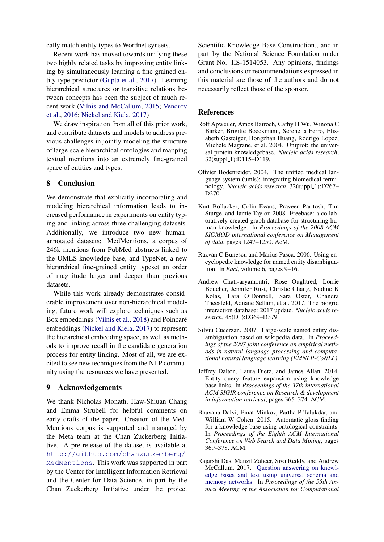cally match entity types to Wordnet synsets.

Recent work has moved towards unifying these two highly related tasks by improving entity linking by simultaneously learning a fine grained entity type predictor [\(Gupta et al.,](#page-9-12) [2017\)](#page-9-12). Learning hierarchical structures or transitive relations between concepts has been the subject of much recent work [\(Vilnis and McCallum,](#page-10-17) [2015;](#page-10-17) [Vendrov](#page-10-18) [et al.,](#page-10-18) [2016;](#page-10-18) [Nickel and Kiela,](#page-9-18) [2017\)](#page-9-18)

We draw inspiration from all of this prior work, and contribute datasets and models to address previous challenges in jointly modeling the structure of large-scale hierarchical ontologies and mapping textual mentions into an extremely fine-grained space of entities and types.

# 8 Conclusion

We demonstrate that explicitly incorporating and modeling hierarchical information leads to increased performance in experiments on entity typing and linking across three challenging datasets. Additionally, we introduce two new humanannotated datasets: MedMentions, a corpus of 246k mentions from PubMed abstracts linked to the UMLS knowledge base, and TypeNet, a new hierarchical fine-grained entity typeset an order of magnitude larger and deeper than previous datasets.

While this work already demonstrates considerable improvement over non-hierarchical modeling, future work will explore techniques such as Box embeddings [\(Vilnis et al.,](#page-10-19) [2018\)](#page-10-19) and Poincaré embeddings [\(Nickel and Kiela,](#page-9-18) [2017\)](#page-9-18) to represent the hierarchical embedding space, as well as methods to improve recall in the candidate generation process for entity linking. Most of all, we are excited to see new techniques from the NLP community using the resources we have presented.

# 9 Acknowledgements

We thank Nicholas Monath, Haw-Shiuan Chang and Emma Strubell for helpful comments on early drafts of the paper. Creation of the Med-Mentions corpus is supported and managed by the Meta team at the Chan Zuckerberg Initiative. A pre-release of the dataset is available at [http://github.com/chanzuckerberg/](http://github.com/chanzuckerberg/MedMentions) [MedMentions](http://github.com/chanzuckerberg/MedMentions). This work was supported in part by the Center for Intelligent Information Retrieval and the Center for Data Science, in part by the Chan Zuckerberg Initiative under the project Scientific Knowledge Base Construction., and in part by the National Science Foundation under Grant No. IIS-1514053. Any opinions, findings and conclusions or recommendations expressed in this material are those of the authors and do not necessarily reflect those of the sponsor.

# References

- <span id="page-8-3"></span>Rolf Apweiler, Amos Bairoch, Cathy H Wu, Winona C Barker, Brigitte Boeckmann, Serenella Ferro, Elisabeth Gasteiger, Hongzhan Huang, Rodrigo Lopez, Michele Magrane, et al. 2004. Uniprot: the universal protein knowledgebase. *Nucleic acids research*, 32(suppl\_1):D115-D119.
- <span id="page-8-2"></span>Olivier Bodenreider. 2004. The unified medical language system (umls): integrating biomedical terminology. *Nucleic acids research*, 32(suppl\_1):D267-D270.
- <span id="page-8-5"></span>Kurt Bollacker, Colin Evans, Praveen Paritosh, Tim Sturge, and Jamie Taylor. 2008. Freebase: a collaboratively created graph database for structuring human knowledge. In *Proceedings of the 2008 ACM SIGMOD international conference on Management of data*, pages 1247–1250. AcM.
- <span id="page-8-7"></span>Razvan C Bunescu and Marius Pasca. 2006. Using encyclopedic knowledge for named entity disambiguation. In *Eacl*, volume 6, pages 9–16.
- <span id="page-8-4"></span>Andrew Chatr-aryamontri, Rose Oughtred, Lorrie Boucher, Jennifer Rust, Christie Chang, Nadine K Kolas, Lara O'Donnell, Sara Oster, Chandra Theesfeld, Adnane Sellam, et al. 2017. The biogrid interaction database: 2017 update. *Nucleic acids research*, 45(D1):D369–D379.
- <span id="page-8-8"></span>Silviu Cucerzan. 2007. Large-scale named entity disambiguation based on wikipedia data. In *Proceedings of the 2007 joint conference on empirical methods in natural language processing and computational natural language learning (EMNLP-CoNLL)*.
- <span id="page-8-1"></span>Jeffrey Dalton, Laura Dietz, and James Allan. 2014. Entity query feature expansion using knowledge base links. In *Proceedings of the 37th international ACM SIGIR conference on Research & development in information retrieval*, pages 365–374. ACM.
- <span id="page-8-6"></span>Bhavana Dalvi, Einat Minkov, Partha P Talukdar, and William W Cohen. 2015. Automatic gloss finding for a knowledge base using ontological constraints. In *Proceedings of the Eighth ACM International Conference on Web Search and Data Mining*, pages 369–378. ACM.
- <span id="page-8-0"></span>Rajarshi Das, Manzil Zaheer, Siva Reddy, and Andrew McCallum. 2017. [Question answering on knowl](http://aclweb.org/anthology/P17-2057)[edge bases and text using universal schema and](http://aclweb.org/anthology/P17-2057) [memory networks.](http://aclweb.org/anthology/P17-2057) In *Proceedings of the 55th Annual Meeting of the Association for Computational*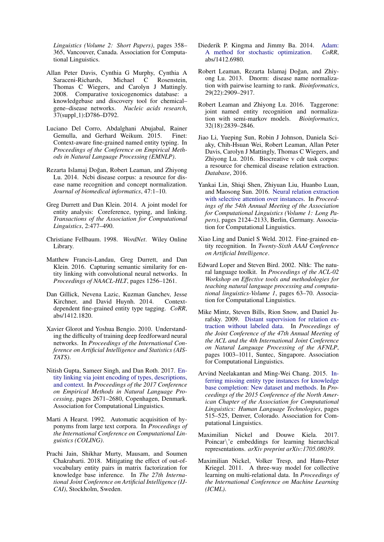*Linguistics (Volume 2: Short Papers)*, pages 358– 365, Vancouver, Canada. Association for Computational Linguistics.

- <span id="page-9-1"></span>Allan Peter Davis, Cynthia G Murphy, Cynthia A Saraceni-Richards, Michael C Rosenstein, Thomas C Wiegers, and Carolyn J Mattingly. 2008. Comparative toxicogenomics database: a knowledgebase and discovery tool for chemical– gene–disease networks. *Nucleic acids research*, 37(suppl\_1):D786-D792.
- <span id="page-9-16"></span>Luciano Del Corro, Abdalghani Abujabal, Rainer Gemulla, and Gerhard Weikum. 2015. Finet: Context-aware fine-grained named entity typing. In *Proceedings of the Conference on Empirical Methods in Natural Language Processing (EMNLP)*.
- <span id="page-9-4"></span>Rezarta Islamaj Doğan, Robert Leaman, and Zhiyong Lu. 2014. Ncbi disease corpus: a resource for disease name recognition and concept normalization. *Journal of biomedical informatics*, 47:1–10.
- <span id="page-9-14"></span>Greg Durrett and Dan Klein. 2014. A joint model for entity analysis: Coreference, typing, and linking. *Transactions of the Association for Computational Linguistics*, 2:477–490.
- <span id="page-9-6"></span>Christiane Fellbaum. 1998. *WordNet*. Wiley Online Library.
- <span id="page-9-15"></span>Matthew Francis-Landau, Greg Durrett, and Dan Klein. 2016. Capturing semantic similarity for entity linking with convolutional neural networks. In *Proceedings of NAACL-HLT*, pages 1256–1261.
- <span id="page-9-7"></span>Dan Gillick, Nevena Lazic, Kuzman Ganchev, Jesse Kirchner, and David Huynh. 2014. Contextdependent fine-grained entity type tagging. *CoRR*, abs/1412.1820.
- <span id="page-9-19"></span>Xavier Glorot and Yoshua Bengio. 2010. Understanding the difficulty of training deep feedforward neural networks. In *Proceedings of the International Conference on Artificial Intelligence and Statistics (AIS-TATS)*.
- <span id="page-9-12"></span>Nitish Gupta, Sameer Singh, and Dan Roth. 2017. [En](https://www.aclweb.org/anthology/D17-1283)[tity linking via joint encoding of types, descriptions,](https://www.aclweb.org/anthology/D17-1283) [and context.](https://www.aclweb.org/anthology/D17-1283) In *Proceedings of the 2017 Conference on Empirical Methods in Natural Language Processing*, pages 2671–2680, Copenhagen, Denmark. Association for Computational Linguistics.
- <span id="page-9-17"></span>Marti A Hearst. 1992. Automatic acquisition of hyponyms from large text corpora. In *Proceedings of the International Conference on Computational Linguistics (COLING)*.
- <span id="page-9-13"></span>Prachi Jain, Shikhar Murty, Mausam, and Soumen Chakrabarti. 2018. Mitigating the effect of out-ofvocabulary entity pairs in matrix factorization for knowledge base inference. In *The 27th International Joint Conference on Artificial Intelligence (IJ-CAI)*, Stockholm, Sweden.
- <span id="page-9-20"></span>Diederik P. Kingma and Jimmy Ba. 2014. [Adam:](http://arxiv.org/abs/1412.6980) [A method for stochastic optimization.](http://arxiv.org/abs/1412.6980) *CoRR*, abs/1412.6980.
- <span id="page-9-2"></span>Robert Leaman, Rezarta Islamaj Doğan, and Zhiyong Lu. 2013. Dnorm: disease name normalization with pairwise learning to rank. *Bioinformatics*, 29(22):2909–2917.
- <span id="page-9-3"></span>Robert Leaman and Zhiyong Lu. 2016. Taggerone: joint named entity recognition and normalization with semi-markov models. *Bioinformatics*, 32(18):2839–2846.
- <span id="page-9-5"></span>Jiao Li, Yueping Sun, Robin J Johnson, Daniela Sciaky, Chih-Hsuan Wei, Robert Leaman, Allan Peter Davis, Carolyn J Mattingly, Thomas C Wiegers, and Zhiyong Lu. 2016. Biocreative v cdr task corpus: a resource for chemical disease relation extraction. *Database*, 2016.
- <span id="page-9-9"></span>Yankai Lin, Shiqi Shen, Zhiyuan Liu, Huanbo Luan, and Maosong Sun. 2016. [Neural relation extraction](http://www.aclweb.org/anthology/P16-1200) [with selective attention over instances.](http://www.aclweb.org/anthology/P16-1200) In *Proceedings of the 54th Annual Meeting of the Association for Computational Linguistics (Volume 1: Long Papers)*, pages 2124–2133, Berlin, Germany. Association for Computational Linguistics.
- <span id="page-9-0"></span>Xiao Ling and Daniel S Weld. 2012. Fine-grained entity recognition. In *Twenty-Sixth AAAI Conference on Artificial Intelligence*.
- <span id="page-9-21"></span>Edward Loper and Steven Bird. 2002. Nltk: The natural language toolkit. In *Proceedings of the ACL-02 Workshop on Effective tools and methodologies for teaching natural language processing and computational linguistics-Volume 1*, pages 63–70. Association for Computational Linguistics.
- <span id="page-9-10"></span>Mike Mintz, Steven Bills, Rion Snow, and Daniel Jurafsky. 2009. [Distant supervision for relation ex](http://www.aclweb.org/anthology/P/P09/P09-1113)[traction without labeled data.](http://www.aclweb.org/anthology/P/P09/P09-1113) In *Proceedings of the Joint Conference of the 47th Annual Meeting of the ACL and the 4th International Joint Conference on Natural Language Processing of the AFNLP*, pages 1003–1011, Suntec, Singapore. Association for Computational Linguistics.
- <span id="page-9-8"></span>Arvind Neelakantan and Ming-Wei Chang. 2015. [In](http://www.aclweb.org/anthology/N15-1054)[ferring missing entity type instances for knowledge](http://www.aclweb.org/anthology/N15-1054) [base completion: New dataset and methods.](http://www.aclweb.org/anthology/N15-1054) In *Proceedings of the 2015 Conference of the North American Chapter of the Association for Computational Linguistics: Human Language Technologies*, pages 515–525, Denver, Colorado. Association for Computational Linguistics.
- <span id="page-9-18"></span>Maximilian Nickel and Douwe Kiela. 2017. Poincar\'e embeddings for learning hierarchical representations. *arXiv preprint arXiv:1705.08039*.
- <span id="page-9-11"></span>Maximilian Nickel, Volker Tresp, and Hans-Peter Kriegel. 2011. A three-way model for collective learning on multi-relational data. In *Proceedings of the International Conference on Machine Learning (ICML)*.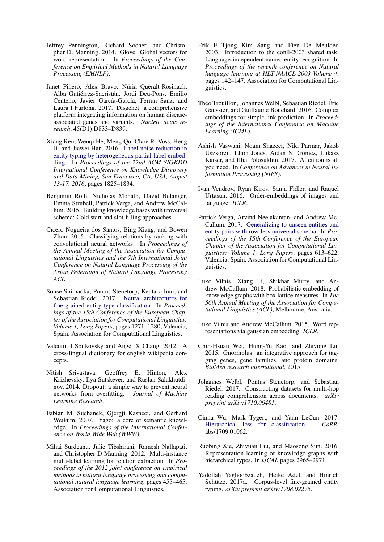- <span id="page-10-20"></span>Jeffrey Pennington, Richard Socher, and Christopher D. Manning. 2014. Glove: Global vectors for word representation. In *Proceedings of the Conference on Empirical Methods in Natural Language Processing (EMNLP)*.
- <span id="page-10-3"></span>Janet Piñero, Alex Bravo, Núria Queralt-Rosinach, Alba Gutiérrez-Sacristán, Jordi Deu-Pons, Emilio Centeno, Javier García-García, Ferran Sanz, and Laura I Furlong. 2017. Disgenet: a comprehensive platform integrating information on human diseaseassociated genes and variants. *Nucleic acids research*, 45(D1):D833–D839.
- <span id="page-10-12"></span>Xiang Ren, Wenqi He, Meng Qu, Clare R. Voss, Heng Ji, and Jiawei Han. 2016. [Label noise reduction in](https://doi.org/10.1145/2939672.2939822) [entity typing by heterogeneous partial-label embed](https://doi.org/10.1145/2939672.2939822)[ding.](https://doi.org/10.1145/2939672.2939822) In *Proceedings of the 22nd ACM SIGKDD International Conference on Knowledge Discovery and Data Mining, San Francisco, CA, USA, August 13-17, 2016*, pages 1825–1834.
- <span id="page-10-0"></span>Benjamin Roth, Nicholas Monath, David Belanger, Emma Strubell, Patrick Verga, and Andrew McCallum. 2015. Building knowledge bases with universal schema: Cold start and slot-filling approaches.
- <span id="page-10-7"></span>Cícero Nogueira dos Santos, Bing Xiang, and Bowen Zhou. 2015. Classifying relations by ranking with convolutional neural networks. In *Proceedings of the Annual Meeting of the Association for Computational Linguistics and the 7th International Joint Conference on Natural Language Processing of the Asian Federation of Natural Language Processing ACL*.
- <span id="page-10-2"></span>Sonse Shimaoka, Pontus Stenetorp, Kentaro Inui, and Sebastian Riedel. 2017. [Neural architectures for](http://www.aclweb.org/anthology/E17-1119) [fine-grained entity type classification.](http://www.aclweb.org/anthology/E17-1119) In *Proceedings of the 15th Conference of the European Chapter of the Association for Computational Linguistics: Volume 1, Long Papers*, pages 1271–1280, Valencia, Spain. Association for Computational Linguistics.
- <span id="page-10-10"></span>Valentin I Spitkovsky and Angel X Chang. 2012. A cross-lingual dictionary for english wikipedia concepts.
- <span id="page-10-21"></span>Nitish Srivastava, Geoffrey E. Hinton, Alex Krizhevsky, Ilya Sutskever, and Ruslan Salakhutdinov. 2014. Dropout: a simple way to prevent neural networks from overfitting. *Journal of Machine Learning Research*.
- <span id="page-10-16"></span>Fabian M. Suchanek, Gjergji Kasneci, and Gerhard Weikum. 2007. Yago: a core of semantic knowledge. In *Proceedings of the International Conference on World Wide Web (WWW)*.
- <span id="page-10-9"></span>Mihai Surdeanu, Julie Tibshirani, Ramesh Nallapati, and Christopher D Manning. 2012. Multi-instance multi-label learning for relation extraction. In *Proceedings of the 2012 joint conference on empirical methods in natural language processing and computational natural language learning*, pages 455–465. Association for Computational Linguistics.
- <span id="page-10-15"></span>Erik F Tjong Kim Sang and Fien De Meulder. 2003. Introduction to the conll-2003 shared task: Language-independent named entity recognition. In *Proceedings of the seventh conference on Natural language learning at HLT-NAACL 2003-Volume 4*, pages 142–147. Association for Computational Linguistics.
- <span id="page-10-11"></span>Théo Trouillon, Johannes Welbl, Sebastian Riedel, Éric Gaussier, and Guillaume Bouchard. 2016. Complex embeddings for simple link prediction. In *Proceedings of the International Conference on Machine Learning (ICML)*.
- <span id="page-10-8"></span>Ashish Vaswani, Noam Shazeer, Niki Parmar, Jakob Uszkoreit, Llion Jones, Aidan N. Gomez, Lukasz Kaiser, and Illia Polosukhin. 2017. Attention is all you need. In *Conference on Advances in Neural Information Processing (NIPS)*.
- <span id="page-10-18"></span>Ivan Vendrov, Ryan Kiros, Sanja Fidler, and Raquel Urtasun. 2016. Order-embeddings of images and language. *ICLR*.
- <span id="page-10-5"></span>Patrick Verga, Arvind Neelakantan, and Andrew Mc-Callum. 2017. [Generalizing to unseen entities and](http://www.aclweb.org/anthology/E17-1058) [entity pairs with row-less universal schema.](http://www.aclweb.org/anthology/E17-1058) In *Proceedings of the 15th Conference of the European Chapter of the Association for Computational Linguistics: Volume 1, Long Papers*, pages 613–622, Valencia, Spain. Association for Computational Linguistics.
- <span id="page-10-19"></span>Luke Vilnis, Xiang Li, Shikhar Murty, and Andrew McCallum. 2018. Probabilistic embedding of knowledge graphs with box lattice measures. In *The 56th Annual Meeting of the Association for Computational Linguistics (ACL)*, Melbourne, Australia.
- <span id="page-10-17"></span>Luke Vilnis and Andrew McCallum. 2015. Word representations via gaussian embedding. *ICLR*.
- <span id="page-10-4"></span>Chih-Hsuan Wei, Hung-Yu Kao, and Zhiyong Lu. 2015. Gnormplus: an integrative approach for tagging genes, gene families, and protein domains. *BioMed research international*, 2015.
- <span id="page-10-1"></span>Johannes Welbl, Pontus Stenetorp, and Sebastian Riedel. 2017. Constructing datasets for multi-hop reading comprehension across documents. *arXiv preprint arXiv:1710.06481*.
- <span id="page-10-14"></span>Cinna Wu, Mark Tygert, and Yann LeCun. 2017. [Hierarchical loss for classification.](http://arxiv.org/abs/1709.01062) *CoRR*, abs/1709.01062.
- <span id="page-10-13"></span>Ruobing Xie, Zhiyuan Liu, and Maosong Sun. 2016. Representation learning of knowledge graphs with hierarchical types. In *IJCAI*, pages 2965–2971.
- <span id="page-10-6"></span>Yadollah Yaghoobzadeh, Heike Adel, and Hinrich Schütze. 2017a. Corpus-level fine-grained entity typing. *arXiv preprint arXiv:1708.02275*.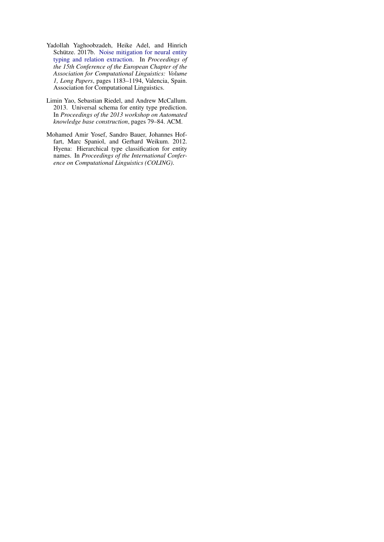- <span id="page-11-0"></span>Yadollah Yaghoobzadeh, Heike Adel, and Hinrich Schütze. 2017b. [Noise mitigation for neural entity](http://www.aclweb.org/anthology/E17-1111) [typing and relation extraction.](http://www.aclweb.org/anthology/E17-1111) In *Proceedings of the 15th Conference of the European Chapter of the Association for Computational Linguistics: Volume 1, Long Papers*, pages 1183–1194, Valencia, Spain. Association for Computational Linguistics.
- <span id="page-11-1"></span>Limin Yao, Sebastian Riedel, and Andrew McCallum. 2013. Universal schema for entity type prediction. In *Proceedings of the 2013 workshop on Automated knowledge base construction*, pages 79–84. ACM.
- <span id="page-11-2"></span>Mohamed Amir Yosef, Sandro Bauer, Johannes Hoffart, Marc Spaniol, and Gerhard Weikum. 2012. Hyena: Hierarchical type classification for entity names. In *Proceedings of the International Conference on Computational Linguistics (COLING)*.